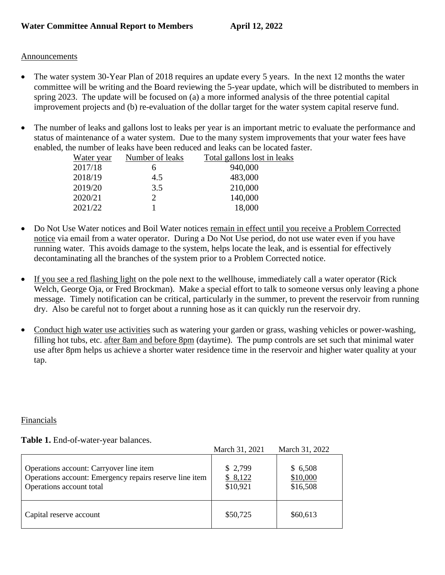## Announcements

- The water system 30-Year Plan of 2018 requires an update every 5 years. In the next 12 months the water committee will be writing and the Board reviewing the 5-year update, which will be distributed to members in spring 2023. The update will be focused on (a) a more informed analysis of the three potential capital improvement projects and (b) re-evaluation of the dollar target for the water system capital reserve fund.
- The number of leaks and gallons lost to leaks per year is an important metric to evaluate the performance and status of maintenance of a water system. Due to the many system improvements that your water fees have enabled, the number of leaks have been reduced and leaks can be located faster.

| Water year | Number of leaks | Total gallons lost in leaks |
|------------|-----------------|-----------------------------|
| 2017/18    |                 | 940,000                     |
| 2018/19    | 4.5             | 483,000                     |
| 2019/20    | 3.5             | 210,000                     |
| 2020/21    |                 | 140,000                     |
| 2021/22    |                 | 18,000                      |

- Do Not Use Water notices and Boil Water notices remain in effect until you receive a Problem Corrected notice via email from a water operator. During a Do Not Use period, do not use water even if you have running water. This avoids damage to the system, helps locate the leak, and is essential for effectively decontaminating all the branches of the system prior to a Problem Corrected notice.
- If you see a red flashing light on the pole next to the wellhouse, immediately call a water operator (Rick Welch, George Oja, or Fred Brockman). Make a special effort to talk to someone versus only leaving a phone message. Timely notification can be critical, particularly in the summer, to prevent the reservoir from running dry. Also be careful not to forget about a running hose as it can quickly run the reservoir dry.
- Conduct high water use activities such as watering your garden or grass, washing vehicles or power-washing, filling hot tubs, etc. after 8am and before 8pm (daytime). The pump controls are set such that minimal water use after 8pm helps us achieve a shorter water residence time in the reservoir and higher water quality at your tap.

## Financials

## **Table 1.** End-of-water-year balances.

|                                                                                                                                | March 31, 2021                 | March 31, 2022                  |
|--------------------------------------------------------------------------------------------------------------------------------|--------------------------------|---------------------------------|
| Operations account: Carryover line item<br>Operations account: Emergency repairs reserve line item<br>Operations account total | \$2,799<br>\$8,122<br>\$10,921 | \$6,508<br>\$10,000<br>\$16,508 |
| Capital reserve account                                                                                                        | \$50,725                       | \$60,613                        |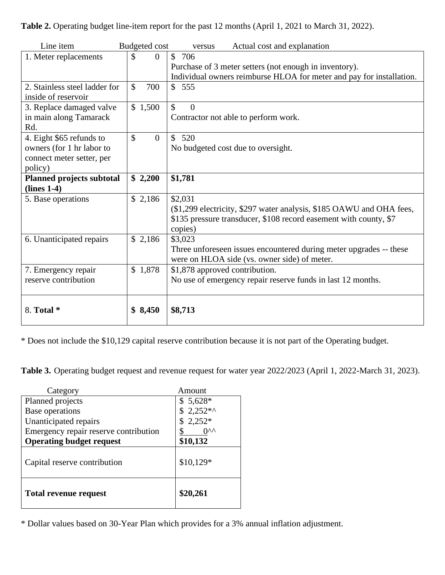**Table 2.** Operating budget line-item report for the past 12 months (April 1, 2021 to March 31, 2022).

| Line item                        | <b>Budgeted</b> cost            | Actual cost and explanation<br>versus                                |
|----------------------------------|---------------------------------|----------------------------------------------------------------------|
| 1. Meter replacements            | \$<br>$\overline{0}$            | \$706                                                                |
|                                  |                                 | Purchase of 3 meter setters (not enough in inventory).               |
|                                  |                                 | Individual owners reimburse HLOA for meter and pay for installation. |
| 2. Stainless steel ladder for    | $\mathcal{S}$<br>700            | \$555                                                                |
| inside of reservoir              |                                 |                                                                      |
| 3. Replace damaged valve         | \$1,500                         | \$<br>$\Omega$                                                       |
| in main along Tamarack           |                                 | Contractor not able to perform work.                                 |
| Rd.                              |                                 |                                                                      |
| 4. Eight \$65 refunds to         | $\mathcal{S}$<br>$\overline{0}$ | \$520                                                                |
| owners (for 1 hr labor to        |                                 | No budgeted cost due to oversight.                                   |
| connect meter setter, per        |                                 |                                                                      |
| policy)                          |                                 |                                                                      |
| <b>Planned projects subtotal</b> | \$2,200                         | \$1,781                                                              |
| $(lines 1-4)$                    |                                 |                                                                      |
| 5. Base operations               | \$2,186                         | \$2,031                                                              |
|                                  |                                 | (\$1,299 electricity, \$297 water analysis, \$185 OAWU and OHA fees, |
|                                  |                                 | \$135 pressure transducer, \$108 record easement with county, \$7    |
|                                  |                                 | copies)                                                              |
| 6. Unanticipated repairs         | \$2,186                         | \$3,023                                                              |
|                                  |                                 | Three unforeseen issues encountered during meter upgrades -- these   |
|                                  |                                 | were on HLOA side (vs. owner side) of meter.                         |
| 7. Emergency repair              | \$1,878                         | \$1,878 approved contribution.                                       |
| reserve contribution             |                                 | No use of emergency repair reserve funds in last 12 months.          |
|                                  |                                 |                                                                      |
|                                  |                                 |                                                                      |
| 8. Total *                       | \$8,450                         | \$8,713                                                              |
|                                  |                                 |                                                                      |

\* Does not include the \$10,129 capital reserve contribution because it is not part of the Operating budget.

**Table 3.** Operating budget request and revenue request for water year 2022/2023 (April 1, 2022-March 31, 2023).

| Category                              | Amount          |
|---------------------------------------|-----------------|
| Planned projects                      | $$5,628*$       |
| Base operations                       | $2,252**$       |
| Unanticipated repairs                 | $2,252*$        |
| Emergency repair reserve contribution | 0 <sub>vv</sub> |
| <b>Operating budget request</b>       | \$10,132        |
| Capital reserve contribution          | $$10,129*$      |
| <b>Total revenue request</b>          | \$20,261        |

\* Dollar values based on 30-Year Plan which provides for a 3% annual inflation adjustment.